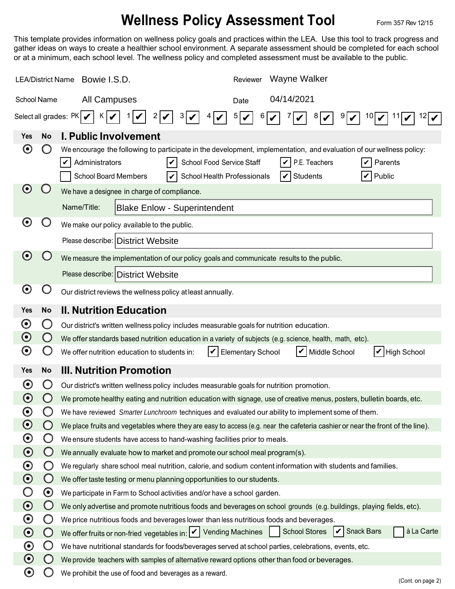## **Wellness Policy Assessment Tool** Form 357 Rev 12/15

This template provides information on wellness policy goals and practices within the LEA. Use this tool to track progress and gather ideas on ways to create a healthier school environment. A separate assessment should be completed for each school or at a minimum, each school level. The wellness policy and completed assessment must be available to the public.

| <b>LEA/District Name</b>                                     |                       | <b>Wayne Walker</b><br>Bowie I.S.D.<br>Reviewer                                                                                                                                                                                                                                                           |  |  |  |  |  |
|--------------------------------------------------------------|-----------------------|-----------------------------------------------------------------------------------------------------------------------------------------------------------------------------------------------------------------------------------------------------------------------------------------------------------|--|--|--|--|--|
| School Name                                                  |                       | 04/14/2021<br>All Campuses<br>Date                                                                                                                                                                                                                                                                        |  |  |  |  |  |
| Select all grades: $PK$<br>5<br>K<br>3 V<br>6<br>9<br>8<br>2 |                       |                                                                                                                                                                                                                                                                                                           |  |  |  |  |  |
| Yes                                                          | <b>No</b>             | <b>I. Public Involvement</b>                                                                                                                                                                                                                                                                              |  |  |  |  |  |
| $\boldsymbol{\Theta}$                                        |                       | We encourage the following to participate in the development, implementation, and evaluation of our wellness policy:<br>Administrators<br>School Food Service Staff<br>P.E. Teachers<br>V<br>Parents<br>Public<br><b>School Board Members</b><br>School Health Professionals<br><b>Students</b><br>V<br>V |  |  |  |  |  |
| $\boldsymbol{\Theta}$                                        |                       | We have a designee in charge of compliance.                                                                                                                                                                                                                                                               |  |  |  |  |  |
|                                                              |                       | Name/Title:<br><b>Blake Enlow - Superintendent</b>                                                                                                                                                                                                                                                        |  |  |  |  |  |
| $\boldsymbol{\Theta}$                                        |                       | We make our policy available to the public.                                                                                                                                                                                                                                                               |  |  |  |  |  |
|                                                              |                       | Please describe: District Website                                                                                                                                                                                                                                                                         |  |  |  |  |  |
| $\mathbf{\Theta}$                                            |                       | We measure the implementation of our policy goals and communicate results to the public.                                                                                                                                                                                                                  |  |  |  |  |  |
|                                                              |                       | Please describe: District Website                                                                                                                                                                                                                                                                         |  |  |  |  |  |
| $\boldsymbol{\Theta}$                                        | $\Box$                | Our district reviews the wellness policy at least annually.                                                                                                                                                                                                                                               |  |  |  |  |  |
|                                                              |                       |                                                                                                                                                                                                                                                                                                           |  |  |  |  |  |
| <b>Yes</b>                                                   | <b>No</b>             | <b>II. Nutrition Education</b>                                                                                                                                                                                                                                                                            |  |  |  |  |  |
| $\boldsymbol{\odot}$<br>$\odot$                              | $\cup$                | Our district's written wellness policy includes measurable goals for nutrition education.                                                                                                                                                                                                                 |  |  |  |  |  |
| $\boldsymbol{\Theta}$                                        |                       | We offer standards based nutrition education in a variety of subjects (e.g. science, health, math, etc).<br>Middle School<br>$ V $ High School<br>We offer nutrition education to students in:<br>V<br><b>Elementary School</b><br>$\boldsymbol{\mathcal{U}}$                                             |  |  |  |  |  |
|                                                              |                       |                                                                                                                                                                                                                                                                                                           |  |  |  |  |  |
| <b>Yes</b>                                                   | <b>No</b>             | <b>III. Nutrition Promotion</b>                                                                                                                                                                                                                                                                           |  |  |  |  |  |
| $\boldsymbol{\Theta}$                                        | O                     | Our district's written wellness policy includes measurable goals for nutrition promotion.                                                                                                                                                                                                                 |  |  |  |  |  |
| $\boldsymbol{\Theta}$                                        |                       | We promote healthy eating and nutrition education with signage, use of creative menus, posters, bulletin boards, etc.                                                                                                                                                                                     |  |  |  |  |  |
| $\boldsymbol{\odot}$                                         | Ο                     | We have reviewed Smarter Lunchroom techniques and evaluated our ability to implement some of them.                                                                                                                                                                                                        |  |  |  |  |  |
| $\boldsymbol{\odot}$<br>$\boldsymbol{\odot}$                 | $\bigcirc$<br>Ő       | We place fruits and vegetables where they are easy to access (e.g. near the cafeteria cashier or near the front of the line).                                                                                                                                                                             |  |  |  |  |  |
| $\boldsymbol{\odot}$                                         | $\bigcirc$            | We ensure students have access to hand-washing facilities prior to meals.<br>We annually evaluate how to market and promote our school meal program(s).                                                                                                                                                   |  |  |  |  |  |
| $\boldsymbol{\odot}$                                         | $\bigcirc$            | We regularly share school meal nutrition, calorie, and sodium content information with students and families.                                                                                                                                                                                             |  |  |  |  |  |
| $\boldsymbol{\odot}$                                         | $\bigcirc$            | We offer taste testing or menu planning opportunities to our students.                                                                                                                                                                                                                                    |  |  |  |  |  |
|                                                              | $\boldsymbol{\Theta}$ | We participate in Farm to School activities and/or have a school garden.                                                                                                                                                                                                                                  |  |  |  |  |  |
| $\boldsymbol{\odot}$                                         | $\bigcirc$            | We only advertise and promote nutritious foods and beverages on school grounds (e.g. buildings, playing fields, etc).                                                                                                                                                                                     |  |  |  |  |  |
| $\boldsymbol{\odot}$                                         | Ő                     | We price nutritious foods and beverages lower than less nutritious foods and beverages.                                                                                                                                                                                                                   |  |  |  |  |  |
| $\odot$                                                      | $\bigcirc$            | à La Carte<br>School Stores   Snack Bars<br>We offer fruits or non-fried vegetables in: V Vending Machines                                                                                                                                                                                                |  |  |  |  |  |
| $\boldsymbol{\Theta}$                                        | Ő                     | We have nutritional standards for foods/beverages served at school parties, celebrations, events, etc.                                                                                                                                                                                                    |  |  |  |  |  |
| $\odot$                                                      | $\bigcirc$            | We provide teachers with samples of alternative reward options other than food or beverages.                                                                                                                                                                                                              |  |  |  |  |  |
| $\boldsymbol{\Theta}$                                        |                       | We prohibit the use of food and beverages as a reward.<br>(Cont. on page 2)                                                                                                                                                                                                                               |  |  |  |  |  |